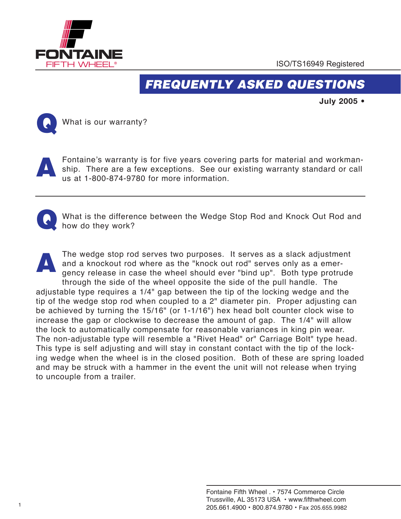

## *FREQUENTLY ASKED QUESTIONS*

**July 2005 •**



**Following What is our warranty?** 

Fontaine's warranty is for five years covering parts for material and workmanship. There are a few exceptions. See our existing warranty standard or call us at 1-800-874-9780 for more information. A



**FONTAINE INTERNATIONAL IS the difference between the Wedge Stop Rod and Knock Out Rod and** how do they work?

® The wedge stop rod serves two purposes. It serves as a slack adjustment and a knockout rod where as the "knock out rod" serves only as a emergency release in case the wheel should ever "bind up". Both type protrude through the side of the wheel opposite the side of the pull handle. The adjustable type requires a 1/4" gap between the tip of the locking wedge and the tip of the wedge stop rod when coupled to a 2" diameter pin. Proper adjusting can be achieved by turning the 15/16" (or 1-1/16") hex head bolt counter clock wise to increase the gap or clockwise to decrease the amount of gap. The 1/4" will allow the lock to automatically compensate for reasonable variances in king pin wear. The non-adjustable type will resemble a "Rivet Head" or" Carriage Bolt" type head. This type is self adjusting and will stay in constant contact with the tip of the locking wedge when the wheel is in the closed position. Both of these are spring loaded and may be struck with a hammer in the event the unit will not release when trying to uncouple from a trailer. A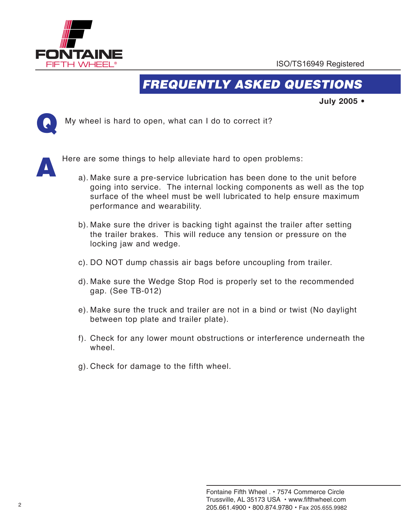

## *FREQUENTLY ASKED QUESTIONS*

**July 2005 •**



**Follow** My wheel is hard to open, what can I do to correct it?



Here are some things to help alleviate hard to open problems:

- performance and wearability. a). Make sure a pre-service lubrication has been done to the unit before going into service. The internal locking components as well as the top surface of the wheel must be well lubricated to help ensure maximum
	- b). Make sure the driver is backing tight against the trailer after setting the trailer brakes. This will reduce any tension or pressure on the locking jaw and wedge.
	- c). DO NOT dump chassis air bags before uncoupling from trailer.
	- d). Make sure the Wedge Stop Rod is properly set to the recommended gap. (See TB-012)
	- e). Make sure the truck and trailer are not in a bind or twist (No daylight between top plate and trailer plate).
	- f). Check for any lower mount obstructions or interference underneath the wheel.
	- g). Check for damage to the fifth wheel.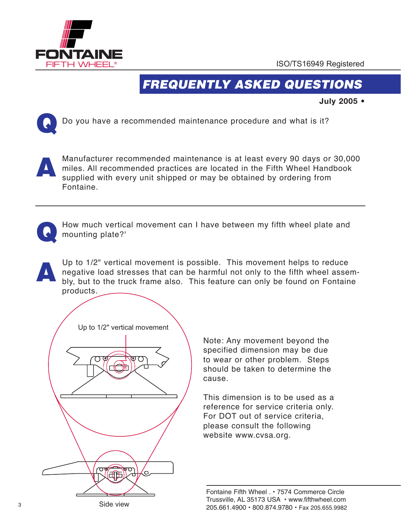

**Fourtheast Contract Contract Contract Contract Contract Contract Contract Contract Contract Contract Contract** 

## *FREQUENTLY ASKED QUESTIONS*

**July 2005 •**



**Follow** Do you have a recommended maintenance procedure and what is it?



Manufacturer recommended maintenance is at least every 90 days or 30,000 miles. All recommended practices are located in the Fifth Wheel Handbook supplied with every unit shipped or may be obtained by ordering from Fontaine.



How much vertical movement can I have between my fifth wheel plate and mounting plate?'

Up to 1/2" vertical movement is possible. This movement helps to reduce negative load stresses that can be harmful not only to the fifth wheel assembly, but to the truck frame also. This feature can only be found on Fontaine products. A



Note: Any movement beyond the specified dimension may be due to wear or other problem. Steps should be taken to determine the cause.

This dimension is to be used as a reference for service criteria only. For DOT out of service criteria, please consult the following website www.cvsa.org.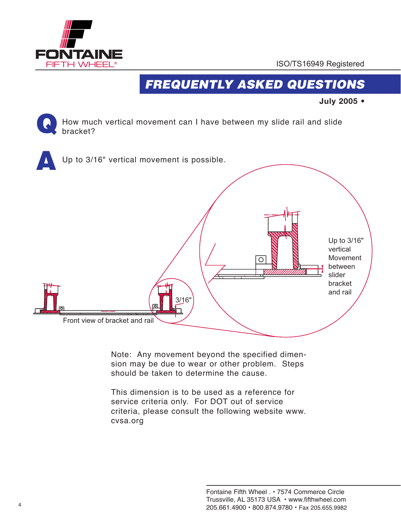

# *FREQUENTLY ASKED QUESTIONS*

**July 2005 •**

**Four much vertical movement can I have between my slide rail and slide** bracket? Q



Note: Any movement beyond the specified dimension may be due to wear or other problem. Steps should be taken to determine the cause.

This dimension is to be used as a reference for service criteria only. For DOT out of service criteria, please consult the following website www. cvsa.org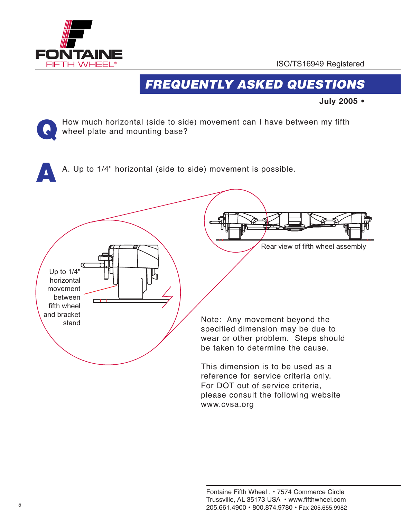**FONTAINE** FIFTH WHEEL ®

**Q** 

ISO/TS16949 Registered

## *FREQUENTLY ASKED QUESTIONS*

**July 2005 •**

**Follow** much horizontal (side to side) movement can I have between my fifth  $\left\{ \left\langle \bullet\right\rangle \right\}$  wheel plate and mounting base?

A. Up to 1/4" horizontal (side to side) movement is possible.



www.cvsa.org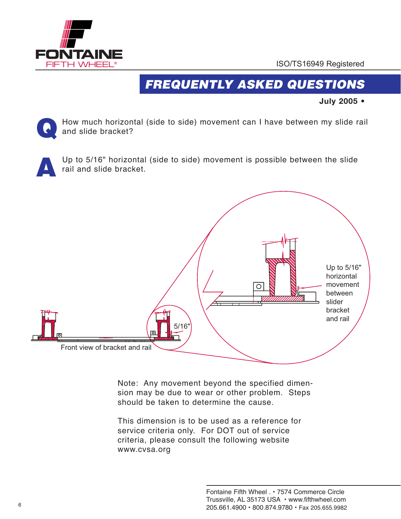

## *FREQUENTLY ASKED QUESTIONS*

**July 2005 •**

**Follow much horizontal (side to side) movement can I have between my slide rail**  $\blacksquare$  and slide bracket? Q



Up to 5/16" horizontal (side to side) movement is possible between the slide rail and slide bracket.



Note: Any movement beyond the specified dimension may be due to wear or other problem. Steps should be taken to determine the cause.

This dimension is to be used as a reference for service criteria only. For DOT out of service criteria, please consult the following website www.cvsa.org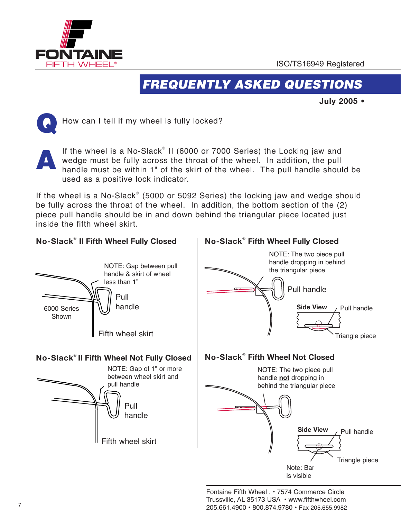

#### *FREQUENTLY ASKED QUESTIONS*

**July 2005 •**



**Foundaini** How can I tell if my wheel is fully locked?

If the wheel is a No-Slack® II (6000 or 7000 Series) the Locking jaw and wedge must be fully across the throat of the wheel. In addition, the pull handle must be within 1" of the skirt of the wheel. The pull handle should be used as a positive lock indicator. A

be fully across the throat of the wheel. In addition, the bottom section of the (2) piece pull handle should be in and down behind the triangular piece located just If the wheel is a No-Slack<sup>®</sup> (5000 or 5092 Series) the locking jaw and wedge should inside the fifth wheel skirt.

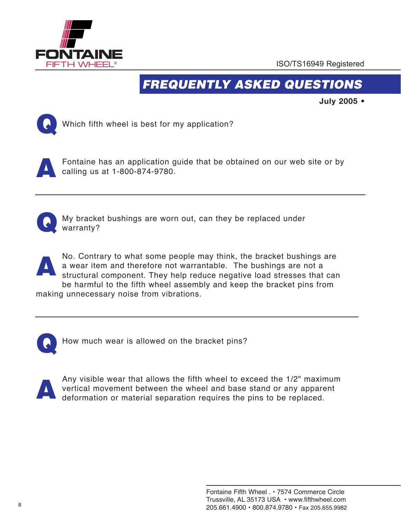

## *FREQUENTLY ASKED QUESTIONS*

**July 2005 •**



Which fifth wheel is best for my application?

A

Fontaine has an application guide that be obtained on our web site or by calling us at 1-800-874-9780.



My bracket bushings are worn out, can they be replaced under warranty?

No. Contrary to what some people may think, the bracket bushings are a wear item and therefore not warrantable. The bushings are not a structural component. They help reduce negative load stresses that can be harmful to the fifth wheel assembly and keep the bracket pins from making unnecessary noise from vibrations. A



How much wear is allowed on the bracket pins?



Any visible wear that allows the fifth wheel to exceed the 1/2" maximum vertical movement between the wheel and base stand or any apparent deformation or material separation requires the pins to be replaced.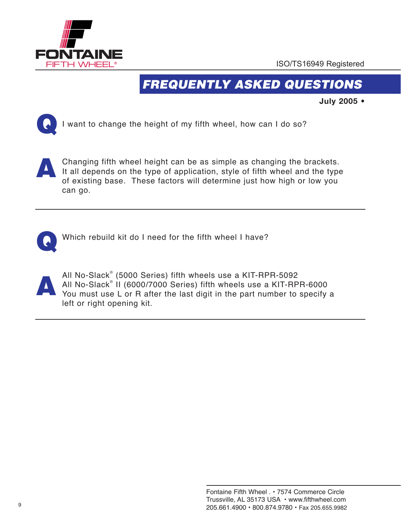

**For all the second contracts** 

ISO/TS16949 Registered

# *FREQUENTLY ASKED QUESTIONS*

**July 2005 •**



I want to change the height of my fifth wheel, how can I do so?



Changing fifth wheel height can be as simple as changing the brackets. It all depends on the type of application, style of fifth wheel and the type of existing base. These factors will determine just how high or low you can go.



Which rebuild kit do I need for the fifth wheel I have?



All No-Slack® (5000 Series) fifth wheels use a KIT-RPR-5092 All No-Slack® II (6000/7000 Series) fifth wheels use a KIT-RPR-6000 You must use L or R after the last digit in the part number to specify a left or right opening kit.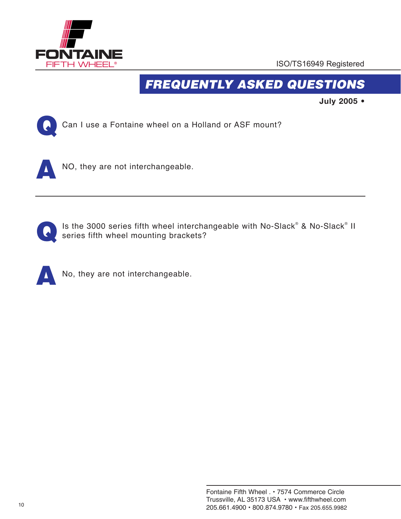

# *FREQUENTLY ASKED QUESTIONS*

**July 2005 •**



Can I use a Fon Can I use a Fontaine wheel on a Holland or ASF mount?





Is the 3000 series fifth wheel interchangeable with No-Slack® & No-Slack® II series fifth wheel mounting brackets?



No, they are not interchangeable.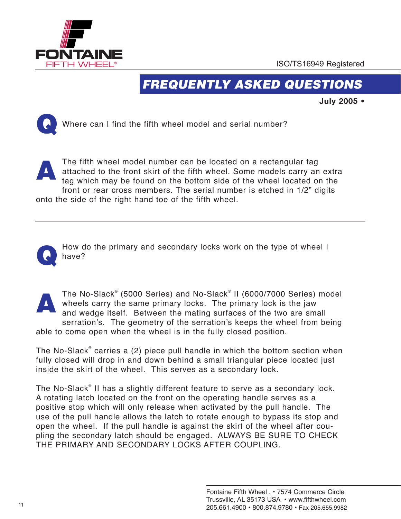

## *FREQUENTLY ASKED QUESTIONS*

**July 2005 •**



**Follow Where can I find the fifth wheel model and serial number?** 

onto the side of the right hand toe of the fifth wheel. The fifth wheel model number can be located on a rectangular tag attached to the front skirt of the fifth wheel. Some models carry an extra tag which may be found on the bottom side of the wheel located on the front or rear cross members. The serial number is etched in 1/2" digits A



® How do the primary and secondary locks work on the type of wheel I have?



The No-Slack® (5000 Series) and No-Slack® II (6000/7000 Series) model wheels carry the same primary locks. The primary lock is the jaw and wedge itself. Between the mating surfaces of the two are small serration's. The geometry of the serration's keeps the wheel from being able to come open when the wheel is in the fully closed position.

The No-Slack® carries a (2) piece pull handle in which the bottom section when fully closed will drop in and down behind a small triangular piece located just inside the skirt of the wheel. This serves as a secondary lock.

The No-Slack® II has a slightly different feature to serve as a secondary lock. A rotating latch located on the front on the operating handle serves as a positive stop which will only release when activated by the pull handle. The use of the pull handle allows the latch to rotate enough to bypass its stop and open the wheel. If the pull handle is against the skirt of the wheel after coupling the secondary latch should be engaged. ALWAYS BE SURE TO CHECK THE PRIMARY AND SECONDARY LOCKS AFTER COUPLING.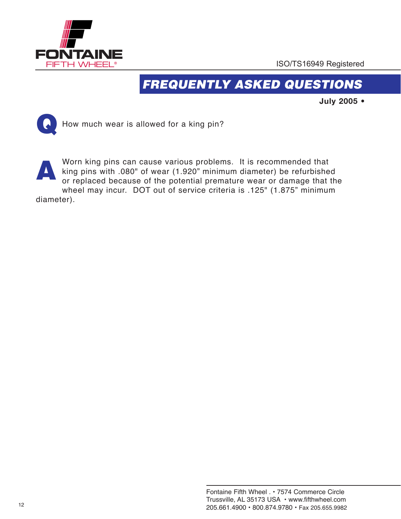

# *FREQUENTLY ASKED QUESTIONS*

**July 2005 •**



**Follow** much wear is allowed for a king pin?

diameter). Worn king pins can cause various problems. It is recommended that king pins with .080" of wear (1.920" minimum diameter) be refurbished or replaced because of the potential premature wear or damage that the wheel may incur. DOT out of service criteria is .125" (1.875" minimum **A**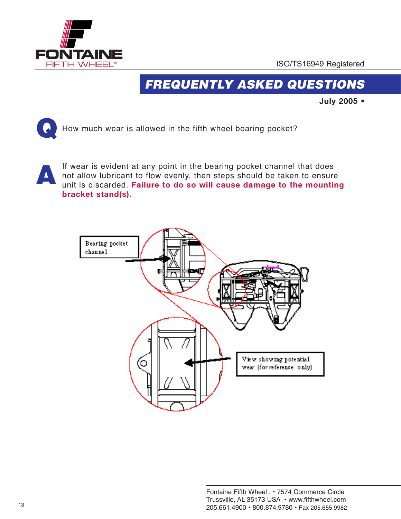

# *FREQUENTLY ASKED QUESTIONS*

**July 2005 •**



How much woar  $\left\{\left.\right\} \right\}$  How much wear is allowed in the fifth wheel bearing pocket?

If wear is evident at any point in the bearing pocket channel that does not allow lubricant to flow evenly, then steps should be taken to ensure unit is discarded. **Failure to do so will cause damage to the mounting bracket stand(s).**  A